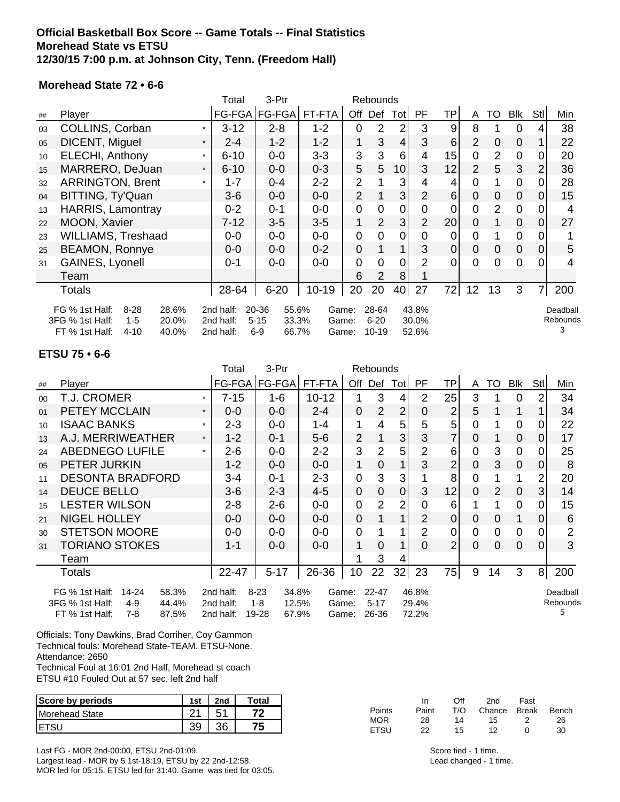### **Official Basketball Box Score -- Game Totals -- Final Statistics Morehead State vs ETSU 12/30/15 7:00 p.m. at Johnson City, Tenn. (Freedom Hall)**

#### **Morehead State 72 • 6-6**

|    |                                     |           | Total                                                      | 3-Ptr             |           |                | Rebounds       |                |                |                 |                |                |                |                |          |
|----|-------------------------------------|-----------|------------------------------------------------------------|-------------------|-----------|----------------|----------------|----------------|----------------|-----------------|----------------|----------------|----------------|----------------|----------|
| ## | Player                              |           | FG-FGA                                                     | FG-FGA            | FT-FTA    | Off            | Def            | Tot            | PF             | ΤP              | A              | TO             | Blk            | Stll           | Min      |
| 03 | COLLINS, Corban                     |           | $3 - 12$                                                   | $2 - 8$           | $1 - 2$   | $\overline{0}$ | $\overline{2}$ | $\overline{2}$ | 3              | 9               | 8              |                | 0              | 4              | 38       |
| 05 | DICENT, Miguel                      | $\star$   | $2 - 4$                                                    | $1 - 2$           | $1 - 2$   | 1              | 3              | $\overline{4}$ | 3              | 6               | 2              | $\overline{0}$ | $\mathbf 0$    |                | 22       |
| 10 | <b>ELECHI, Anthony</b>              | $\star$   | $6 - 10$                                                   | $0-0$             | $3 - 3$   | 3              | 3              | 6              | $\overline{4}$ | 15              | $\mathbf 0$    | $\overline{2}$ | $\mathbf 0$    | 0              | 20       |
| 15 | MARRERO, DeJuan                     | $\star$   | $6 - 10$                                                   | $0-0$             | $0 - 3$   | 5              | 5              | 10             | 3              | 12              | $\overline{2}$ | 5              | 3              | 2 <sub>1</sub> | 36       |
| 32 | <b>ARRINGTON, Brent</b>             | $\star$   | $1 - 7$                                                    | $0 - 4$           | $2 - 2$   | $\overline{2}$ |                | 3              | 4              | 4               | $\Omega$       | 1              | $\overline{0}$ | $\Omega$       | 28       |
| 04 | BITTING, Ty'Quan                    |           | $3-6$                                                      | $0-0$             | $0-0$     | $\overline{2}$ |                | 3 <sub>l</sub> | $\overline{2}$ | 6               | $\overline{0}$ | $\mathbf 0$    | $\overline{0}$ | 0              | 15       |
| 13 | <b>HARRIS, Lamontray</b>            |           | $0 - 2$                                                    | $0 - 1$           | $0-0$     | $\mathbf 0$    | $\overline{0}$ | $\mathbf 0$    | $\mathbf 0$    | $\overline{0}$  | $\overline{0}$ | $\overline{2}$ | $\mathbf 0$    | $\Omega$       | 4        |
| 22 | MOON, Xavier                        |           | $7 - 12$                                                   | $3-5$             | $3-5$     | 1              | $\overline{2}$ | 3              | $\overline{2}$ | 20 <sub>1</sub> | $\overline{0}$ |                | $\mathbf 0$    | $\overline{0}$ | 27       |
| 23 | <b>WILLIAMS, Treshaad</b>           |           | $0-0$                                                      | $0-0$             | $0-0$     | $\mathbf 0$    | $\overline{0}$ | $\mathbf 0$    | $\overline{0}$ | 0               | $\mathbf 0$    |                | $\mathbf 0$    | 0              |          |
| 25 | <b>BEAMON, Ronnye</b>               |           | $0-0$                                                      | $0-0$             | $0 - 2$   | $\mathbf 0$    |                | 1              | 3              | $\pmb{0}$       | $\overline{0}$ | $\mathbf 0$    | $\mathbf 0$    | $\overline{0}$ | 5        |
| 31 | GAINES, Lyonell                     |           | $0 - 1$                                                    | $0-0$             | $0-0$     | $\mathbf 0$    | $\overline{0}$ | $\overline{0}$ | $\overline{2}$ | $\overline{0}$  | $\overline{0}$ | $\Omega$       | $\overline{0}$ | $\Omega$       | 4        |
|    | Team                                |           |                                                            |                   |           | 6              | $\overline{2}$ | 8              |                |                 |                |                |                |                |          |
|    | Totals                              |           | 28-64                                                      | $6 - 20$          | $10 - 19$ | 20             | 20             | 40             | 27             | 72              | 12             | 13             | 3              | $\overline{7}$ | 200      |
|    | FG % 1st Half:<br>$8 - 28$<br>28.6% | 2nd half: | 20-36<br>55.6%                                             | Game:             |           | 28-64          |                | 43.8%          |                |                 |                |                |                | Deadball       |          |
|    | 3FG % 1st Half:<br>$1 - 5$<br>20.0% |           | 2nd half:                                                  | $5 - 15$<br>33.3% | Game:     |                | $6 - 20$       |                | 30.0%          |                 |                |                |                |                | Rebounds |
|    | FT % 1st Half:<br>$4 - 10$<br>40.0% |           | 52.6%<br>$6-9$<br>2nd half:<br>66.7%<br>$10 - 19$<br>Game: |                   |           |                |                |                |                | 3               |                |                |                |                |          |

#### **ETSU 75 • 6-6**

|                                                                                              |                                     |         | Total     | 3-Ptr            | Rebounds  |                |                |                |                |                |                |                |                |                |                |
|----------------------------------------------------------------------------------------------|-------------------------------------|---------|-----------|------------------|-----------|----------------|----------------|----------------|----------------|----------------|----------------|----------------|----------------|----------------|----------------|
| ##                                                                                           | Player                              |         | FG-FGA    | FG-FGA           | FT-FTA    | Off            | Def            | Tot            | PF.            | ΤP             | A              | TO             | Blk            | Stll           | Min            |
| 00                                                                                           | T.J. CROMER                         |         | $7 - 15$  | 1-6              | $10 - 12$ |                | 3              | 4              | 2              | 25             | 3              |                | $\Omega$       | 2              | 34             |
| 01                                                                                           | <b>PETEY MCCLAIN</b>                | $\ast$  | $0 - 0$   | $0 - 0$          | $2 - 4$   | 0              | $\overline{2}$ | $\overline{2}$ | 0              | $\overline{2}$ | 5              |                |                |                | 34             |
| 10                                                                                           | <b>ISAAC BANKS</b>                  | $\star$ | $2 - 3$   | $0-0$            | $1 - 4$   | 1              | 4              | 5              | 5              | 5              | 0              |                | 0              | 0              | 22             |
| 13                                                                                           | A.J. MERRIWEATHER                   | $\star$ | $1 - 2$   | $0 - 1$          | $5-6$     | $\overline{2}$ |                | 3              | 3              | 7              | 0              |                | $\mathbf 0$    | $\Omega$       | 17             |
| 24                                                                                           | <b>ABEDNEGO LUFILE</b>              | $\star$ | $2-6$     | $0-0$            | $2 - 2$   | 3              | 2              | 5              | 2              | 6              | $\overline{0}$ | 3              | $\mathbf 0$    | 0              | 25             |
| 05                                                                                           | PETER JURKIN                        |         | 1-2       | $0-0$            | $0-0$     | 1              | $\overline{0}$ |                | 3              | $\overline{2}$ | $\overline{0}$ | 3              | $\overline{0}$ | $\Omega$       | 8              |
| 11                                                                                           | <b>DESONTA BRADFORD</b>             |         | 3-4       | $0 - 1$          | $2 - 3$   | $\overline{0}$ | 3              | 3              |                | 8              | $\overline{0}$ |                | 1              | 2              | 20             |
| 14                                                                                           | <b>DEUCE BELLO</b>                  |         | $3-6$     | $2 - 3$          | 4-5       | 0              | $\overline{0}$ | $\Omega$       | 3              | 12             | $\Omega$       | $\overline{2}$ | $\overline{0}$ | $\mathbf{3}$   | 14             |
| 15                                                                                           | <b>LESTER WILSON</b>                |         | $2 - 8$   | $2 - 6$          | $0-0$     | $\overline{0}$ | $\overline{2}$ | $\overline{2}$ | 0              | 6              |                |                | $\Omega$       | 0              | 15             |
| 21                                                                                           | <b>NIGEL HOLLEY</b>                 |         | $0-0$     | $0-0$            | $0-0$     | 0              |                |                | 2              | 0              | $\Omega$       | $\mathbf 0$    | 1              | $\Omega$       | 6              |
| 30                                                                                           | <b>STETSON MOORE</b>                |         | $0-0$     | $0-0$            | $0-0$     | 0              |                |                | $\overline{2}$ | 0              | 0              | 0              | $\mathbf 0$    | 0              | $\overline{2}$ |
| 31                                                                                           | <b>TORIANO STOKES</b>               |         | 1-1       | $0-0$            | $0-0$     | 1              | $\mathbf 0$    | 1              | $\Omega$       | $\overline{2}$ | $\Omega$       | $\Omega$       | $\overline{0}$ | $\Omega$       | 3              |
|                                                                                              | Team                                |         |           |                  |           |                | 3              | 4              |                |                |                |                |                |                |                |
|                                                                                              | Totals                              |         | 22-47     | $5 - 17$         | 26-36     | 10             | 22             | 32             | 23             | 75             | 9              | 14             | 3              | 8 <sup>1</sup> | 200            |
| 34.8%<br>FG % 1st Half:<br>$14 - 24$<br>58.3%<br>2nd half:<br>$8 - 23$<br>$22 - 47$<br>Game: |                                     |         |           |                  |           |                |                |                | 46.8%          |                |                |                |                |                | Deadball       |
|                                                                                              | 3FG % 1st Half:<br>$4 - 9$<br>44.4% |         | 2nd half: | $1 - 8$<br>12.5% | Game:     |                | $5 - 17$       |                | 29.4%          |                |                |                |                |                | Rebounds       |
|                                                                                              | FT % 1st Half:<br>7-8<br>87.5%      |         | 2nd half: | 19-28<br>67.9%   | Game:     |                | 26-36          |                | 72.2%          |                |                |                |                |                | 5              |

Officials: Tony Dawkins, Brad Corriher, Coy Gammon Technical fouls: Morehead State-TEAM. ETSU-None. Attendance: 2650

Technical Foul at 16:01 2nd Half, Morehead st coach ETSU #10 Fouled Out at 57 sec. left 2nd half

| Score by periods | 1st | 2nd | Total |
|------------------|-----|-----|-------|
| Morehead State   |     |     |       |
|                  |     | າຂ  | 75    |

Last FG - MOR 2nd-00:00, ETSU 2nd-01:09. Largest lead - MOR by 5 1st-18:19, ETSU by 22 2nd-12:58. MOR led for 05:15. ETSU led for 31:40. Game was tied for 03:05.

|        | In    | Off | 2nd                | Fast         |    |
|--------|-------|-----|--------------------|--------------|----|
| Points | Paint | T/O | Chance Break Bench |              |    |
| MOR    | 28    | 14  | 15.                |              | 26 |
| ETSU   | 22    | 15  | 12                 | $\mathbf{u}$ | 30 |

Score tied - 1 time. Lead changed - 1 time.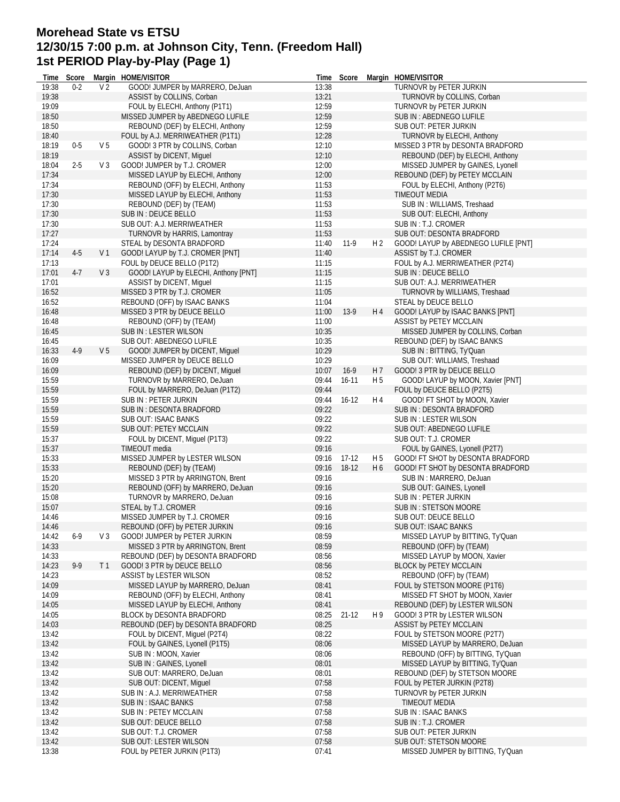# **Morehead State vs ETSU 12/30/15 7:00 p.m. at Johnson City, Tenn. (Freedom Hall) 1st PERIOD Play-by-Play (Page 1)**

| Time  |         |                | Score Margin HOME/VISITOR            |       |           |                | Time Score Margin HOME/VISITOR       |
|-------|---------|----------------|--------------------------------------|-------|-----------|----------------|--------------------------------------|
| 19:38 | $0 - 2$ | V <sub>2</sub> | GOOD! JUMPER by MARRERO, DeJuan      | 13:38 |           |                | TURNOVR by PETER JURKIN              |
| 19:38 |         |                | ASSIST by COLLINS, Corban            | 13:21 |           |                | TURNOVR by COLLINS, Corban           |
| 19:09 |         |                | FOUL by ELECHI, Anthony (P1T1)       | 12:59 |           |                | TURNOVR by PETER JURKIN              |
| 18:50 |         |                | MISSED JUMPER by ABEDNEGO LUFILE     | 12:59 |           |                | SUB IN : ABEDNEGO LUFILE             |
| 18:50 |         |                | REBOUND (DEF) by ELECHI, Anthony     | 12:59 |           |                | SUB OUT: PETER JURKIN                |
| 18:40 |         |                | FOUL by A.J. MERRIWEATHER (P1T1)     | 12:28 |           |                | <b>TURNOVR by ELECHI, Anthony</b>    |
| 18:19 | $0-5$   | V <sub>5</sub> | GOOD! 3 PTR by COLLINS, Corban       | 12:10 |           |                | MISSED 3 PTR by DESONTA BRADFORD     |
| 18:19 |         |                | ASSIST by DICENT, Miguel             | 12:10 |           |                | REBOUND (DEF) by ELECHI, Anthony     |
| 18:04 | $2 - 5$ | V <sub>3</sub> | GOOD! JUMPER by T.J. CROMER          | 12:00 |           |                | MISSED JUMPER by GAINES, Lyonell     |
| 17:34 |         |                | MISSED LAYUP by ELECHI, Anthony      | 12:00 |           |                | REBOUND (DEF) by PETEY MCCLAIN       |
| 17:34 |         |                | REBOUND (OFF) by ELECHI, Anthony     | 11:53 |           |                | FOUL by ELECHI, Anthony (P2T6)       |
| 17:30 |         |                | MISSED LAYUP by ELECHI, Anthony      | 11:53 |           |                | <b>TIMEOUT MEDIA</b>                 |
| 17:30 |         |                | REBOUND (DEF) by (TEAM)              | 11:53 |           |                | SUB IN: WILLIAMS, Treshaad           |
| 17:30 |         |                | SUB IN : DEUCE BELLO                 | 11:53 |           |                | SUB OUT: ELECHI, Anthony             |
| 17:30 |         |                | SUB OUT: A.J. MERRIWEATHER           | 11:53 |           |                | SUB IN : T.J. CROMER                 |
| 17:27 |         |                | TURNOVR by HARRIS, Lamontray         | 11:53 |           |                | SUB OUT: DESONTA BRADFORD            |
| 17:24 |         |                | STEAL by DESONTA BRADFORD            | 11:40 | $11-9$    | H <sub>2</sub> | GOOD! LAYUP by ABEDNEGO LUFILE [PNT] |
| 17:14 | $4-5$   | V <sub>1</sub> | GOOD! LAYUP by T.J. CROMER [PNT]     | 11:40 |           |                | ASSIST by T.J. CROMER                |
| 17:13 |         |                | FOUL by DEUCE BELLO (P1T2)           | 11:15 |           |                | FOUL by A.J. MERRIWEATHER (P2T4)     |
| 17:01 | $4-7$   | V <sub>3</sub> | GOOD! LAYUP by ELECHI, Anthony [PNT] | 11:15 |           |                | SUB IN : DEUCE BELLO                 |
| 17:01 |         |                | ASSIST by DICENT, Miguel             | 11:15 |           |                | SUB OUT: A.J. MERRIWEATHER           |
| 16:52 |         |                | MISSED 3 PTR by T.J. CROMER          | 11:05 |           |                | TURNOVR by WILLIAMS, Treshaad        |
| 16:52 |         |                | REBOUND (OFF) by ISAAC BANKS         | 11:04 |           |                | STEAL by DEUCE BELLO                 |
| 16:48 |         |                | MISSED 3 PTR by DEUCE BELLO          | 11:00 | $13-9$    | H 4            | GOOD! LAYUP by ISAAC BANKS [PNT]     |
| 16:48 |         |                | REBOUND (OFF) by (TEAM)              | 11:00 |           |                | ASSIST by PETEY MCCLAIN              |
| 16:45 |         |                | SUB IN: LESTER WILSON                | 10:35 |           |                | MISSED JUMPER by COLLINS, Corban     |
| 16:45 |         |                | SUB OUT: ABEDNEGO LUFILE             | 10:35 |           |                | REBOUND (DEF) by ISAAC BANKS         |
| 16:33 | $4-9$   | V <sub>5</sub> | GOOD! JUMPER by DICENT, Miquel       | 10:29 |           |                | SUB IN: BITTING, Ty'Quan             |
| 16:09 |         |                | MISSED JUMPER by DEUCE BELLO         | 10:29 |           |                | SUB OUT: WILLIAMS, Treshaad          |
| 16:09 |         |                | REBOUND (DEF) by DICENT, Miguel      | 10:07 | $16-9$    | H 7            | GOOD! 3 PTR by DEUCE BELLO           |
| 15:59 |         |                | TURNOVR by MARRERO, DeJuan           | 09:44 | $16-11$   | H <sub>5</sub> | GOOD! LAYUP by MOON, Xavier [PNT]    |
| 15:59 |         |                | FOUL by MARRERO, DeJuan (P1T2)       | 09:44 |           |                | FOUL by DEUCE BELLO (P2T5)           |
| 15:59 |         |                | SUB IN : PETER JURKIN                | 09:44 | $16-12$   | H 4            | GOOD! FT SHOT by MOON, Xavier        |
| 15:59 |         |                | SUB IN : DESONTA BRADFORD            | 09:22 |           |                | SUB IN : DESONTA BRADFORD            |
| 15:59 |         |                | SUB OUT: ISAAC BANKS                 | 09:22 |           |                | SUB IN : LESTER WILSON               |
| 15:59 |         |                | <b>SUB OUT: PETEY MCCLAIN</b>        | 09:22 |           |                | SUB OUT: ABEDNEGO LUFILE             |
| 15:37 |         |                | FOUL by DICENT, Miguel (P1T3)        | 09:22 |           |                | SUB OUT: T.J. CROMER                 |
| 15:37 |         |                | TIMEOUT media                        | 09:16 |           |                | FOUL by GAINES, Lyonell (P2T7)       |
| 15:33 |         |                | MISSED JUMPER by LESTER WILSON       | 09:16 | 17-12     | H 5            | GOOD! FT SHOT by DESONTA BRADFORD    |
| 15:33 |         |                | REBOUND (DEF) by (TEAM)              | 09:16 | 18-12     | H <sub>6</sub> | GOOD! FT SHOT by DESONTA BRADFORD    |
| 15:20 |         |                | MISSED 3 PTR by ARRINGTON, Brent     | 09:16 |           |                | SUB IN : MARRERO, DeJuan             |
| 15:20 |         |                | REBOUND (OFF) by MARRERO, DeJuan     | 09:16 |           |                | SUB OUT: GAINES, Lyonell             |
| 15:08 |         |                | TURNOVR by MARRERO, DeJuan           | 09:16 |           |                | SUB IN : PETER JURKIN                |
| 15:07 |         |                | STEAL by T.J. CROMER                 | 09:16 |           |                | SUB IN: STETSON MOORE                |
| 14:46 |         |                | MISSED JUMPER by T.J. CROMER         | 09:16 |           |                | <b>SUB OUT: DEUCE BELLO</b>          |
| 14:46 |         |                | REBOUND (OFF) by PETER JURKIN        | 09:16 |           |                | SUB OUT: ISAAC BANKS                 |
| 14:42 | $6-9$   | V <sub>3</sub> | GOOD! JUMPER by PETER JURKIN         | 08:59 |           |                | MISSED LAYUP by BITTING, Ty'Quan     |
| 14:33 |         |                | MISSED 3 PTR by ARRINGTON, Brent     | 08:59 |           |                | REBOUND (OFF) by (TEAM)              |
| 14:33 |         |                | REBOUND (DEF) by DESONTA BRADFORD    | 08:56 |           |                | MISSED LAYUP by MOON, Xavier         |
| 14:23 | $9-9$   | T <sub>1</sub> | GOOD! 3 PTR by DEUCE BELLO           | 08:56 |           |                | <b>BLOCK by PETEY MCCLAIN</b>        |
| 14:23 |         |                | ASSIST by LESTER WILSON              | 08:52 |           |                | REBOUND (OFF) by (TEAM)              |
| 14:09 |         |                | MISSED LAYUP by MARRERO, DeJuan      | 08:41 |           |                | FOUL by STETSON MOORE (P1T6)         |
| 14:09 |         |                | REBOUND (OFF) by ELECHI, Anthony     | 08:41 |           |                | MISSED FT SHOT by MOON, Xavier       |
| 14:05 |         |                | MISSED LAYUP by ELECHI, Anthony      | 08:41 |           |                | REBOUND (DEF) by LESTER WILSON       |
| 14:05 |         |                | BLOCK by DESONTA BRADFORD            | 08:25 | $21 - 12$ | H 9            | GOOD! 3 PTR by LESTER WILSON         |
| 14:03 |         |                | REBOUND (DEF) by DESONTA BRADFORD    | 08:25 |           |                | ASSIST by PETEY MCCLAIN              |
| 13:42 |         |                | FOUL by DICENT, Miguel (P2T4)        | 08:22 |           |                | FOUL by STETSON MOORE (P2T7)         |
| 13:42 |         |                | FOUL by GAINES, Lyonell (P1T5)       | 08:06 |           |                | MISSED LAYUP by MARRERO, DeJuan      |
| 13:42 |         |                | SUB IN : MOON, Xavier                | 08:06 |           |                | REBOUND (OFF) by BITTING, Ty'Quan    |
| 13:42 |         |                | SUB IN: GAINES, Lyonell              | 08:01 |           |                | MISSED LAYUP by BITTING, Ty'Quan     |
| 13:42 |         |                | SUB OUT: MARRERO, DeJuan             | 08:01 |           |                | REBOUND (DEF) by STETSON MOORE       |
| 13:42 |         |                | SUB OUT: DICENT, Miquel              | 07:58 |           |                | FOUL by PETER JURKIN (P2T8)          |
| 13:42 |         |                | SUB IN: A.J. MERRIWEATHER            | 07:58 |           |                | TURNOVR by PETER JURKIN              |
| 13:42 |         |                | SUB IN : ISAAC BANKS                 | 07:58 |           |                | <b>TIMEOUT MEDIA</b>                 |
| 13:42 |         |                | SUB IN : PETEY MCCLAIN               | 07:58 |           |                | <b>SUB IN: ISAAC BANKS</b>           |
| 13:42 |         |                | SUB OUT: DEUCE BELLO                 | 07:58 |           |                | SUB IN : T.J. CROMER                 |
| 13:42 |         |                | SUB OUT: T.J. CROMER                 | 07:58 |           |                | SUB OUT: PETER JURKIN                |
| 13:42 |         |                | SUB OUT: LESTER WILSON               | 07:58 |           |                | SUB OUT: STETSON MOORE               |
| 13:38 |         |                | FOUL by PETER JURKIN (P1T3)          | 07:41 |           |                | MISSED JUMPER by BITTING, Ty'Quan    |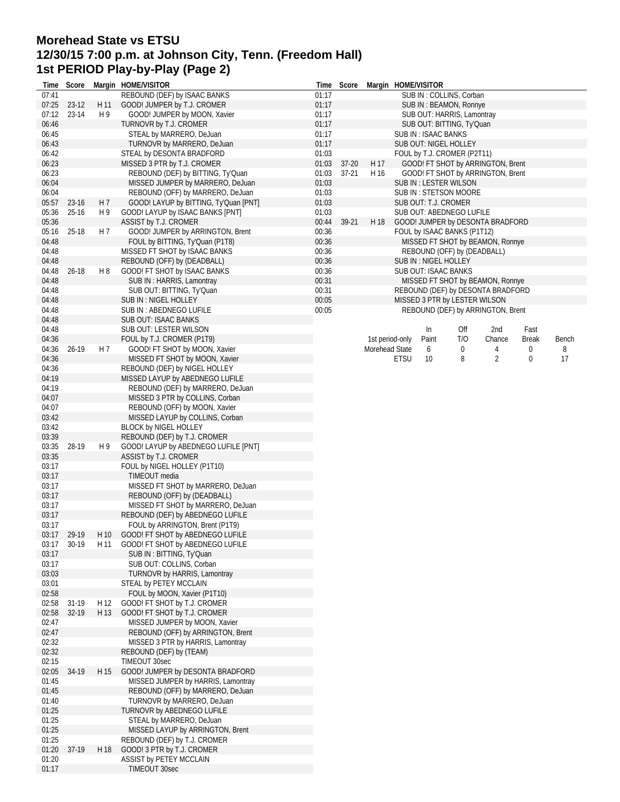## **Morehead State vs ETSU 12/30/15 7:00 p.m. at Johnson City, Tenn. (Freedom Hall) 1st PERIOD Play-by-Play (Page 2)**

| Time           | Score     |                | Margin HOME/VISITOR                                                   |                | Time Score             |                | Margin HOME/VISITOR |                     |                               |                                                                        |              |       |
|----------------|-----------|----------------|-----------------------------------------------------------------------|----------------|------------------------|----------------|---------------------|---------------------|-------------------------------|------------------------------------------------------------------------|--------------|-------|
| 07:41          |           |                | REBOUND (DEF) by ISAAC BANKS                                          | 01:17          |                        |                |                     |                     | SUB IN: COLLINS, Corban       |                                                                        |              |       |
| 07:25          | $23-12$   | H 11           | GOOD! JUMPER by T.J. CROMER                                           | 01:17          |                        |                |                     |                     | SUB IN: BEAMON, Ronnye        |                                                                        |              |       |
| 07:12          | 23-14     | H 9            | GOOD! JUMPER by MOON, Xavier                                          | 01:17          |                        |                |                     |                     | SUB OUT: HARRIS, Lamontray    |                                                                        |              |       |
| 06:46          |           |                | TURNOVR by T.J. CROMER                                                | 01:17          |                        |                |                     |                     | SUB OUT: BITTING, Ty'Quan     |                                                                        |              |       |
| 06:45          |           |                | STEAL by MARRERO, DeJuan                                              | 01:17          |                        |                |                     | SUB IN: ISAAC BANKS |                               |                                                                        |              |       |
| 06:43          |           |                | TURNOVR by MARRERO, DeJuan                                            | 01:17          |                        |                |                     |                     | SUB OUT: NIGEL HOLLEY         |                                                                        |              |       |
| 06:42          |           |                | STEAL by DESONTA BRADFORD                                             | 01:03          |                        |                |                     |                     | FOUL by T.J. CROMER (P2T11)   |                                                                        |              |       |
| 06:23<br>06:23 |           |                | MISSED 3 PTR by T.J. CROMER                                           | 01:03<br>01:03 | $37 - 20$<br>$37 - 21$ | H 17<br>H 16   |                     |                     |                               | GOOD! FT SHOT by ARRINGTON, Brent<br>GOOD! FT SHOT by ARRINGTON, Brent |              |       |
| 06:04          |           |                | REBOUND (DEF) by BITTING, Ty'Quan<br>MISSED JUMPER by MARRERO, DeJuan | 01:03          |                        |                |                     |                     | SUB IN: LESTER WILSON         |                                                                        |              |       |
| 06:04          |           |                | REBOUND (OFF) by MARRERO, DeJuan                                      | 01:03          |                        |                |                     |                     | SUB IN: STETSON MOORE         |                                                                        |              |       |
| 05:57          | 23-16     | H <sub>7</sub> | GOOD! LAYUP by BITTING, Ty'Quan [PNT]                                 | 01:03          |                        |                |                     |                     | SUB OUT: T.J. CROMER          |                                                                        |              |       |
| 05:36          | $25-16$   | H 9            | GOOD! LAYUP by ISAAC BANKS [PNT]                                      | 01:03          |                        |                |                     |                     | SUB OUT: ABEDNEGO LUFILE      |                                                                        |              |       |
| 05:36          |           |                | ASSIST by T.J. CROMER                                                 | 00:44          | 39-21                  | H 18           |                     |                     |                               | GOOD! JUMPER by DESONTA BRADFORD                                       |              |       |
| 05:16          | 25-18     | H 7            | GOOD! JUMPER by ARRINGTON, Brent                                      | 00:36          |                        |                |                     |                     | FOUL by ISAAC BANKS (P1T12)   |                                                                        |              |       |
| 04:48          |           |                | FOUL by BITTING, Ty'Quan (P1T8)                                       | 00:36          |                        |                |                     |                     |                               | MISSED FT SHOT by BEAMON, Ronnye                                       |              |       |
| 04:48          |           |                | MISSED FT SHOT by ISAAC BANKS                                         | 00:36          |                        |                |                     |                     | REBOUND (OFF) by (DEADBALL)   |                                                                        |              |       |
| 04:48          |           |                | REBOUND (OFF) by (DEADBALL)                                           | 00:36          |                        |                |                     |                     | SUB IN : NIGEL HOLLEY         |                                                                        |              |       |
| 04:48          | $26 - 18$ | H 8            | GOOD! FT SHOT by ISAAC BANKS                                          | 00:36          |                        |                |                     |                     | SUB OUT: ISAAC BANKS          |                                                                        |              |       |
| 04:48          |           |                | SUB IN: HARRIS, Lamontray                                             | 00:31          |                        |                |                     |                     |                               | MISSED FT SHOT by BEAMON, Ronnye                                       |              |       |
| 04:48          |           |                | SUB OUT: BITTING, Ty'Quan                                             | 00:31          |                        |                |                     |                     |                               | REBOUND (DEF) by DESONTA BRADFORD                                      |              |       |
| 04:48          |           |                | <b>SUB IN: NIGEL HOLLEY</b>                                           | 00:05          |                        |                |                     |                     | MISSED 3 PTR by LESTER WILSON |                                                                        |              |       |
| 04:48          |           |                | SUB IN : ABEDNEGO LUFILE                                              | 00:05          |                        |                |                     |                     |                               | REBOUND (DEF) by ARRINGTON, Brent                                      |              |       |
| 04:48          |           |                | <b>SUB OUT: ISAAC BANKS</b>                                           |                |                        |                |                     |                     |                               |                                                                        |              |       |
| 04:48          |           |                | SUB OUT: LESTER WILSON                                                |                |                        |                |                     | In                  | Off                           | 2nd                                                                    | Fast         |       |
| 04:36          |           |                | FOUL by T.J. CROMER (P1T9)                                            |                |                        |                | 1st period-only     | Paint               | T/O                           | Chance                                                                 | <b>Break</b> | Bench |
| 04:36          | 26-19     | H 7            | GOOD! FT SHOT by MOON, Xavier                                         |                |                        | Morehead State |                     | 6                   | 0                             | 4                                                                      | 0            | 8     |
| 04:36          |           |                | MISSED FT SHOT by MOON, Xavier                                        |                |                        |                | ETSU                | 10                  | 8                             | $\overline{2}$                                                         | 0            | 17    |
| 04:36          |           |                | REBOUND (DEF) by NIGEL HOLLEY                                         |                |                        |                |                     |                     |                               |                                                                        |              |       |
| 04:19          |           |                | MISSED LAYUP by ABEDNEGO LUFILE                                       |                |                        |                |                     |                     |                               |                                                                        |              |       |
| 04:19          |           |                | REBOUND (DEF) by MARRERO, DeJuan                                      |                |                        |                |                     |                     |                               |                                                                        |              |       |
| 04:07<br>04:07 |           |                | MISSED 3 PTR by COLLINS, Corban                                       |                |                        |                |                     |                     |                               |                                                                        |              |       |
| 03:42          |           |                | REBOUND (OFF) by MOON, Xavier<br>MISSED LAYUP by COLLINS, Corban      |                |                        |                |                     |                     |                               |                                                                        |              |       |
| 03:42          |           |                | <b>BLOCK by NIGEL HOLLEY</b>                                          |                |                        |                |                     |                     |                               |                                                                        |              |       |
| 03:39          |           |                | REBOUND (DEF) by T.J. CROMER                                          |                |                        |                |                     |                     |                               |                                                                        |              |       |
| 03:35          | 28-19     | H 9            | GOOD! LAYUP by ABEDNEGO LUFILE [PNT]                                  |                |                        |                |                     |                     |                               |                                                                        |              |       |
| 03:35          |           |                | ASSIST by T.J. CROMER                                                 |                |                        |                |                     |                     |                               |                                                                        |              |       |
| 03:17          |           |                | FOUL by NIGEL HOLLEY (P1T10)                                          |                |                        |                |                     |                     |                               |                                                                        |              |       |
| 03:17          |           |                | TIMEOUT media                                                         |                |                        |                |                     |                     |                               |                                                                        |              |       |
| 03:17          |           |                | MISSED FT SHOT by MARRERO, DeJuan                                     |                |                        |                |                     |                     |                               |                                                                        |              |       |
| 03:17          |           |                | REBOUND (OFF) by (DEADBALL)                                           |                |                        |                |                     |                     |                               |                                                                        |              |       |
| 03:17          |           |                | MISSED FT SHOT by MARRERO, DeJuan                                     |                |                        |                |                     |                     |                               |                                                                        |              |       |
| 03:17          |           |                | REBOUND (DEF) by ABEDNEGO LUFILE                                      |                |                        |                |                     |                     |                               |                                                                        |              |       |
| 03:17          |           |                | FOUL by ARRINGTON, Brent (P1T9)                                       |                |                        |                |                     |                     |                               |                                                                        |              |       |
| 03:17          | 29-19     | H 10           | GOOD! FT SHOT by ABEDNEGO LUFILE                                      |                |                        |                |                     |                     |                               |                                                                        |              |       |
| 03:17          | 30-19     |                | H 11 GOOD! FT SHOT by ABEDNEGO LUFILE                                 |                |                        |                |                     |                     |                               |                                                                        |              |       |
| 03:17          |           |                | SUB IN: BITTING, Ty'Quan                                              |                |                        |                |                     |                     |                               |                                                                        |              |       |
| 03:17          |           |                | SUB OUT: COLLINS, Corban                                              |                |                        |                |                     |                     |                               |                                                                        |              |       |
| 03:03          |           |                | TURNOVR by HARRIS, Lamontray                                          |                |                        |                |                     |                     |                               |                                                                        |              |       |
| 03:01          |           |                | STEAL by PETEY MCCLAIN                                                |                |                        |                |                     |                     |                               |                                                                        |              |       |
| 02:58          |           |                | FOUL by MOON, Xavier (P1T10)                                          |                |                        |                |                     |                     |                               |                                                                        |              |       |
| 02:58          | 31-19     | H 12           | GOOD! FT SHOT by T.J. CROMER                                          |                |                        |                |                     |                     |                               |                                                                        |              |       |
| 02:58          | 32-19     | H 13           | GOOD! FT SHOT by T.J. CROMER                                          |                |                        |                |                     |                     |                               |                                                                        |              |       |
| 02:47<br>02:47 |           |                | MISSED JUMPER by MOON, Xavier<br>REBOUND (OFF) by ARRINGTON, Brent    |                |                        |                |                     |                     |                               |                                                                        |              |       |
| 02:32          |           |                | MISSED 3 PTR by HARRIS, Lamontray                                     |                |                        |                |                     |                     |                               |                                                                        |              |       |
| 02:32          |           |                | REBOUND (DEF) by (TEAM)                                               |                |                        |                |                     |                     |                               |                                                                        |              |       |
| 02:15          |           |                | TIMEOUT 30sec                                                         |                |                        |                |                     |                     |                               |                                                                        |              |       |
| 02:05          | 34-19     | H 15           | GOOD! JUMPER by DESONTA BRADFORD                                      |                |                        |                |                     |                     |                               |                                                                        |              |       |
| 01:45          |           |                | MISSED JUMPER by HARRIS, Lamontray                                    |                |                        |                |                     |                     |                               |                                                                        |              |       |
| 01:45          |           |                | REBOUND (OFF) by MARRERO, DeJuan                                      |                |                        |                |                     |                     |                               |                                                                        |              |       |
| 01:40          |           |                | TURNOVR by MARRERO, DeJuan                                            |                |                        |                |                     |                     |                               |                                                                        |              |       |
| 01:25          |           |                | TURNOVR by ABEDNEGO LUFILE                                            |                |                        |                |                     |                     |                               |                                                                        |              |       |
| 01:25          |           |                | STEAL by MARRERO, DeJuan                                              |                |                        |                |                     |                     |                               |                                                                        |              |       |
| 01:25          |           |                | MISSED LAYUP by ARRINGTON, Brent                                      |                |                        |                |                     |                     |                               |                                                                        |              |       |
| 01:25          |           |                | REBOUND (DEF) by T.J. CROMER                                          |                |                        |                |                     |                     |                               |                                                                        |              |       |
| 01:20          | 37-19     | H 18           | GOOD! 3 PTR by T.J. CROMER                                            |                |                        |                |                     |                     |                               |                                                                        |              |       |
| 01:20          |           |                | ASSIST by PETEY MCCLAIN                                               |                |                        |                |                     |                     |                               |                                                                        |              |       |
| 01:17          |           |                | TIMEOUT 30sec                                                         |                |                        |                |                     |                     |                               |                                                                        |              |       |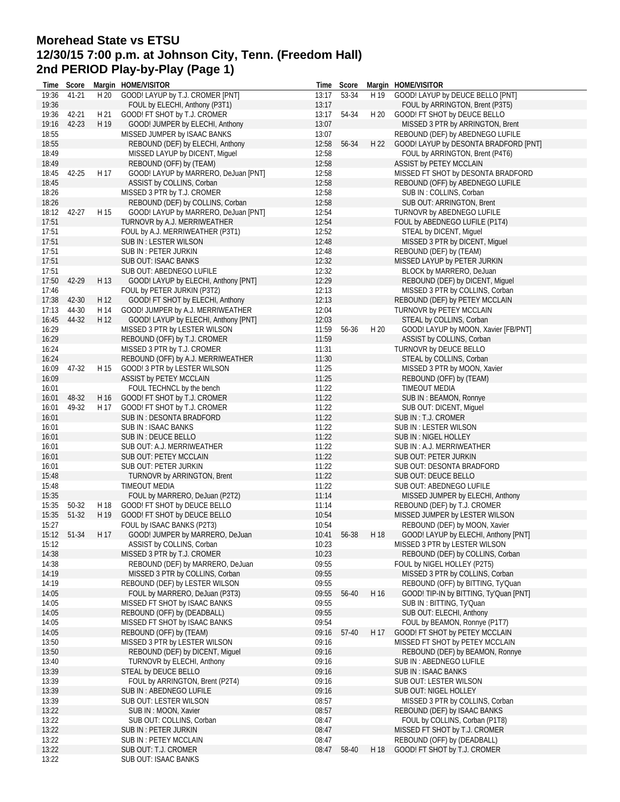## **Morehead State vs ETSU 12/30/15 7:00 p.m. at Johnson City, Tenn. (Freedom Hall) 2nd PERIOD Play-by-Play (Page 1)**

| Time  | Score       |      | Margin HOME/VISITOR                  |       | Time Score  |      | Margin HOME/VISITOR                    |
|-------|-------------|------|--------------------------------------|-------|-------------|------|----------------------------------------|
| 19:36 | 41-21       | H 20 | GOOD! LAYUP by T.J. CROMER [PNT]     | 13:17 | 53-34       | H 19 | GOOD! LAYUP by DEUCE BELLO [PNT]       |
| 19:36 |             |      | FOUL by ELECHI, Anthony (P3T1)       | 13:17 |             |      | FOUL by ARRINGTON, Brent (P3T5)        |
| 19:36 | 42-21       | H 21 | GOOD! FT SHOT by T.J. CROMER         | 13:17 | 54-34       | H 20 | GOOD! FT SHOT by DEUCE BELLO           |
| 19:16 | $42 - 23$   | H 19 | GOOD! JUMPER by ELECHI, Anthony      | 13:07 |             |      | MISSED 3 PTR by ARRINGTON, Brent       |
| 18:55 |             |      | MISSED JUMPER by ISAAC BANKS         | 13:07 |             |      | REBOUND (DEF) by ABEDNEGO LUFILE       |
| 18:55 |             |      | REBOUND (DEF) by ELECHI, Anthony     | 12:58 | 56-34       | H 22 | GOOD! LAYUP by DESONTA BRADFORD [PNT]  |
| 18:49 |             |      | MISSED LAYUP by DICENT, Miquel       | 12:58 |             |      | FOUL by ARRINGTON, Brent (P4T6)        |
| 18:49 |             |      |                                      | 12:58 |             |      |                                        |
|       |             |      | REBOUND (OFF) by (TEAM)              |       |             |      | ASSIST by PETEY MCCLAIN                |
| 18:45 | 42-25       | H 17 | GOOD! LAYUP by MARRERO, DeJuan [PNT] | 12:58 |             |      | MISSED FT SHOT by DESONTA BRADFORD     |
| 18:45 |             |      | ASSIST by COLLINS, Corban            | 12:58 |             |      | REBOUND (OFF) by ABEDNEGO LUFILE       |
| 18:26 |             |      | MISSED 3 PTR by T.J. CROMER          | 12:58 |             |      | SUB IN: COLLINS, Corban                |
| 18:26 |             |      | REBOUND (DEF) by COLLINS, Corban     | 12:58 |             |      | SUB OUT: ARRINGTON, Brent              |
| 18:12 | 42-27       | H 15 | GOOD! LAYUP by MARRERO, DeJuan [PNT] | 12:54 |             |      | TURNOVR by ABEDNEGO LUFILE             |
| 17:51 |             |      | TURNOVR by A.J. MERRIWEATHER         | 12:54 |             |      | FOUL by ABEDNEGO LUFILE (P1T4)         |
| 17:51 |             |      | FOUL by A.J. MERRIWEATHER (P3T1)     | 12:52 |             |      | STEAL by DICENT, Miguel                |
| 17:51 |             |      | SUB IN: LESTER WILSON                | 12:48 |             |      | MISSED 3 PTR by DICENT, Miquel         |
| 17:51 |             |      | SUB IN : PETER JURKIN                | 12:48 |             |      | REBOUND (DEF) by (TEAM)                |
| 17:51 |             |      | SUB OUT: ISAAC BANKS                 | 12:32 |             |      | MISSED LAYUP by PETER JURKIN           |
| 17:51 |             |      | SUB OUT: ABEDNEGO LUFILE             | 12:32 |             |      | BLOCK by MARRERO, DeJuan               |
| 17:50 | 42-29       | H 13 | GOOD! LAYUP by ELECHI, Anthony [PNT] | 12:29 |             |      | REBOUND (DEF) by DICENT, Miguel        |
| 17:46 |             |      | FOUL by PETER JURKIN (P3T2)          | 12:13 |             |      | MISSED 3 PTR by COLLINS, Corban        |
| 17:38 | 42-30       | H 12 | GOOD! FT SHOT by ELECHI, Anthony     | 12:13 |             |      | REBOUND (DEF) by PETEY MCCLAIN         |
| 17:13 | 44-30       | H 14 | GOOD! JUMPER by A.J. MERRIWEATHER    | 12:04 |             |      | TURNOVR by PETEY MCCLAIN               |
| 16:45 | 44-32       | H 12 | GOOD! LAYUP by ELECHI, Anthony [PNT] | 12:03 |             |      | STEAL by COLLINS, Corban               |
| 16:29 |             |      |                                      | 11:59 | 56-36       | H 20 |                                        |
|       |             |      | MISSED 3 PTR by LESTER WILSON        |       |             |      | GOOD! LAYUP by MOON, Xavier [FB/PNT]   |
| 16:29 |             |      | REBOUND (OFF) by T.J. CROMER         | 11:59 |             |      | ASSIST by COLLINS, Corban              |
| 16:24 |             |      | MISSED 3 PTR by T.J. CROMER          | 11:31 |             |      | TURNOVR by DEUCE BELLO                 |
| 16:24 |             |      | REBOUND (OFF) by A.J. MERRIWEATHER   | 11:30 |             |      | STEAL by COLLINS, Corban               |
| 16:09 | 47-32       | H 15 | GOOD! 3 PTR by LESTER WILSON         | 11:25 |             |      | MISSED 3 PTR by MOON, Xavier           |
| 16:09 |             |      | ASSIST by PETEY MCCLAIN              | 11:25 |             |      | REBOUND (OFF) by (TEAM)                |
| 16:01 |             |      | FOUL TECHNCL by the bench            | 11:22 |             |      | <b>TIMEOUT MEDIA</b>                   |
| 16:01 | 48-32       | H 16 | GOOD! FT SHOT by T.J. CROMER         | 11:22 |             |      | SUB IN: BEAMON, Ronnye                 |
| 16:01 | 49-32       | H 17 | GOOD! FT SHOT by T.J. CROMER         | 11:22 |             |      | SUB OUT: DICENT, Miguel                |
| 16:01 |             |      | SUB IN: DESONTA BRADFORD             | 11:22 |             |      | SUB IN: T.J. CROMER                    |
| 16:01 |             |      | SUB IN : ISAAC BANKS                 | 11:22 |             |      | SUB IN : LESTER WILSON                 |
| 16:01 |             |      | SUB IN : DEUCE BELLO                 | 11:22 |             |      | SUB IN : NIGEL HOLLEY                  |
| 16:01 |             |      | SUB OUT: A.J. MERRIWEATHER           | 11:22 |             |      | SUB IN : A.J. MERRIWEATHER             |
| 16:01 |             |      | SUB OUT: PETEY MCCLAIN               | 11:22 |             |      | SUB OUT: PETER JURKIN                  |
| 16:01 |             |      | SUB OUT: PETER JURKIN                | 11:22 |             |      | SUB OUT: DESONTA BRADFORD              |
| 15:48 |             |      | <b>TURNOVR by ARRINGTON, Brent</b>   | 11:22 |             |      | <b>SUB OUT: DEUCE BELLO</b>            |
| 15:48 |             |      | <b>TIMEOUT MEDIA</b>                 | 11:22 |             |      | SUB OUT: ABEDNEGO LUFILE               |
| 15:35 |             |      | FOUL by MARRERO, DeJuan (P2T2)       | 11:14 |             |      | MISSED JUMPER by ELECHI, Anthony       |
| 15:35 | 50-32       | H 18 | GOOD! FT SHOT by DEUCE BELLO         | 11:14 |             |      | REBOUND (DEF) by T.J. CROMER           |
| 15:35 | 51-32       | H 19 | GOOD! FT SHOT by DEUCE BELLO         | 10:54 |             |      | MISSED JUMPER by LESTER WILSON         |
| 15:27 |             |      | FOUL by ISAAC BANKS (P2T3)           | 10:54 |             |      | REBOUND (DEF) by MOON, Xavier          |
|       |             |      |                                      |       |             |      | GOOD! LAYUP by ELECHI, Anthony [PNT]   |
|       | 15:12 51-34 |      | H 17 GOOD! JUMPER by MARRERO, DeJuan |       | 10:41 56-38 | H 18 |                                        |
| 15:12 |             |      | ASSIST by COLLINS, Corban            | 10:23 |             |      | MISSED 3 PTR by LESTER WILSON          |
| 14:38 |             |      | MISSED 3 PTR by T.J. CROMER          | 10:23 |             |      | REBOUND (DEF) by COLLINS, Corban       |
| 14:38 |             |      | REBOUND (DEF) by MARRERO, DeJuan     | 09:55 |             |      | FOUL by NIGEL HOLLEY (P2T5)            |
| 14:19 |             |      | MISSED 3 PTR by COLLINS, Corban      | 09:55 |             |      | MISSED 3 PTR by COLLINS, Corban        |
| 14:19 |             |      | REBOUND (DEF) by LESTER WILSON       | 09:55 |             |      | REBOUND (OFF) by BITTING, Ty'Quan      |
| 14:05 |             |      | FOUL by MARRERO, DeJuan (P3T3)       | 09:55 | 56-40       | H 16 | GOOD! TIP-IN by BITTING, Ty'Quan [PNT] |
| 14:05 |             |      | MISSED FT SHOT by ISAAC BANKS        | 09:55 |             |      | SUB IN: BITTING, Ty'Quan               |
| 14:05 |             |      | REBOUND (OFF) by (DEADBALL)          | 09:55 |             |      | SUB OUT: ELECHI, Anthony               |
| 14:05 |             |      | MISSED FT SHOT by ISAAC BANKS        | 09:54 |             |      | FOUL by BEAMON, Ronnye (P1T7)          |
| 14:05 |             |      | REBOUND (OFF) by (TEAM)              | 09:16 | 57-40       | H 17 | GOOD! FT SHOT by PETEY MCCLAIN         |
| 13:50 |             |      | MISSED 3 PTR by LESTER WILSON        | 09:16 |             |      | MISSED FT SHOT by PETEY MCCLAIN        |
| 13:50 |             |      | REBOUND (DEF) by DICENT, Miguel      | 09:16 |             |      | REBOUND (DEF) by BEAMON, Ronnye        |
| 13:40 |             |      | TURNOVR by ELECHI, Anthony           | 09:16 |             |      | SUB IN : ABEDNEGO LUFILE               |
| 13:39 |             |      | STEAL by DEUCE BELLO                 | 09:16 |             |      | SUB IN : ISAAC BANKS                   |
| 13:39 |             |      | FOUL by ARRINGTON, Brent (P2T4)      | 09:16 |             |      | SUB OUT: LESTER WILSON                 |
| 13:39 |             |      | SUB IN: ABEDNEGO LUFILE              | 09:16 |             |      | SUB OUT: NIGEL HOLLEY                  |
| 13:39 |             |      | SUB OUT: LESTER WILSON               | 08:57 |             |      | MISSED 3 PTR by COLLINS, Corban        |
| 13:22 |             |      | SUB IN: MOON, Xavier                 | 08:57 |             |      | REBOUND (DEF) by ISAAC BANKS           |
| 13:22 |             |      | SUB OUT: COLLINS, Corban             | 08:47 |             |      | FOUL by COLLINS, Corban (P1T8)         |
| 13:22 |             |      | SUB IN : PETER JURKIN                | 08:47 |             |      | MISSED FT SHOT by T.J. CROMER          |
| 13:22 |             |      |                                      | 08:47 |             |      | REBOUND (OFF) by (DEADBALL)            |
|       |             |      | SUB IN : PETEY MCCLAIN               |       |             |      |                                        |
| 13:22 |             |      | SUB OUT: T.J. CROMER                 | 08:47 | 58-40       | H 18 | GOOD! FT SHOT by T.J. CROMER           |
| 13:22 |             |      | SUB OUT: ISAAC BANKS                 |       |             |      |                                        |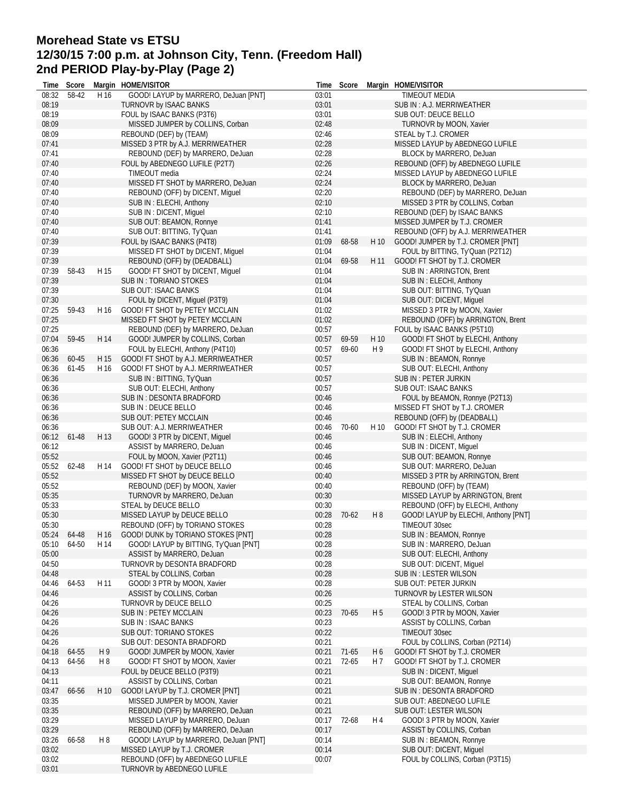## **Morehead State vs ETSU 12/30/15 7:00 p.m. at Johnson City, Tenn. (Freedom Hall) 2nd PERIOD Play-by-Play (Page 2)**

|       | Time Score  |      | Margin HOME/VISITOR                                              |                | Time Score |                | Margin HOME/VISITOR                              |
|-------|-------------|------|------------------------------------------------------------------|----------------|------------|----------------|--------------------------------------------------|
| 08:32 | 58-42       | H 16 | GOOD! LAYUP by MARRERO, DeJuan [PNT]                             | 03:01          |            |                | TIMEOUT MEDIA                                    |
| 08:19 |             |      | TURNOVR by ISAAC BANKS                                           | 03:01          |            |                | SUB IN: A.J. MERRIWEATHER                        |
| 08:19 |             |      | FOUL by ISAAC BANKS (P3T6)                                       | 03:01          |            |                | SUB OUT: DEUCE BELLO                             |
| 08:09 |             |      | MISSED JUMPER by COLLINS, Corban                                 | 02:48          |            |                | TURNOVR by MOON, Xavier                          |
| 08:09 |             |      | REBOUND (DEF) by (TEAM)                                          | 02:46          |            |                | STEAL by T.J. CROMER                             |
| 07:41 |             |      | MISSED 3 PTR by A.J. MERRIWEATHER                                | 02:28          |            |                | MISSED LAYUP by ABEDNEGO LUFILE                  |
| 07:41 |             |      | REBOUND (DEF) by MARRERO, DeJuan                                 | 02:28          |            |                | BLOCK by MARRERO, DeJuan                         |
| 07:40 |             |      | FOUL by ABEDNEGO LUFILE (P2T7)                                   | 02:26          |            |                | REBOUND (OFF) by ABEDNEGO LUFILE                 |
| 07:40 |             |      | TIMEOUT media                                                    | 02:24          |            |                | MISSED LAYUP by ABEDNEGO LUFILE                  |
| 07:40 |             |      | MISSED FT SHOT by MARRERO, DeJuan                                | 02:24          |            |                | BLOCK by MARRERO, DeJuan                         |
| 07:40 |             |      | REBOUND (OFF) by DICENT, Miquel                                  | 02:20          |            |                | REBOUND (DEF) by MARRERO, DeJuan                 |
| 07:40 |             |      | SUB IN: ELECHI, Anthony                                          | 02:10          |            |                | MISSED 3 PTR by COLLINS, Corban                  |
| 07:40 |             |      | SUB IN : DICENT, Miquel                                          | 02:10          |            |                | REBOUND (DEF) by ISAAC BANKS                     |
| 07:40 |             |      | SUB OUT: BEAMON, Ronnye                                          | 01:41          |            |                | MISSED JUMPER by T.J. CROMER                     |
| 07:40 |             |      | SUB OUT: BITTING, Ty'Quan                                        | 01:41          |            |                | REBOUND (OFF) by A.J. MERRIWEATHER               |
| 07:39 |             |      | FOUL by ISAAC BANKS (P4T8)                                       | 01:09          | 68-58      | H 10           | GOOD! JUMPER by T.J. CROMER [PNT]                |
| 07:39 |             |      | MISSED FT SHOT by DICENT, Miquel                                 | 01:04          |            |                | FOUL by BITTING, Ty'Quan (P2T12)                 |
| 07:39 |             |      | REBOUND (OFF) by (DEADBALL)                                      | 01:04          | 69-58      | H 11           | GOOD! FT SHOT by T.J. CROMER                     |
| 07:39 | 58-43       | H 15 |                                                                  |                |            |                |                                                  |
| 07:39 |             |      | GOOD! FT SHOT by DICENT, Miguel<br><b>SUB IN: TORIANO STOKES</b> | 01:04          |            |                | SUB IN: ARRINGTON, Brent                         |
|       |             |      | SUB OUT: ISAAC BANKS                                             | 01:04          |            |                | SUB IN: ELECHI, Anthony                          |
| 07:39 |             |      |                                                                  | 01:04          |            |                | SUB OUT: BITTING, Ty'Quan                        |
| 07:30 |             |      | FOUL by DICENT, Miguel (P3T9)                                    | 01:04          |            |                | SUB OUT: DICENT, Miguel                          |
| 07:25 | 59-43       | H 16 | GOOD! FT SHOT by PETEY MCCLAIN                                   | 01:02          |            |                | MISSED 3 PTR by MOON, Xavier                     |
| 07:25 |             |      | MISSED FT SHOT by PETEY MCCLAIN                                  | 01:02          |            |                | REBOUND (OFF) by ARRINGTON, Brent                |
| 07:25 |             |      | REBOUND (DEF) by MARRERO, DeJuan                                 | 00:57          |            |                | FOUL by ISAAC BANKS (P5T10)                      |
| 07:04 | 59-45       | H 14 | GOOD! JUMPER by COLLINS, Corban                                  | 00:57          | 69-59      | H 10           | GOOD! FT SHOT by ELECHI, Anthony                 |
| 06:36 |             |      | FOUL by ELECHI, Anthony (P4T10)                                  | 00:57          | 69-60      | H 9            | GOOD! FT SHOT by ELECHI, Anthony                 |
| 06:36 | 60-45       | H 15 | GOOD! FT SHOT by A.J. MERRIWEATHER                               | 00:57          |            |                | SUB IN: BEAMON, Ronnye                           |
| 06:36 | 61-45       | H 16 | GOOD! FT SHOT by A.J. MERRIWEATHER                               | 00:57          |            |                | SUB OUT: ELECHI, Anthony                         |
| 06:36 |             |      | SUB IN: BITTING, Ty'Quan                                         | 00:57          |            |                | SUB IN : PETER JURKIN                            |
| 06:36 |             |      | SUB OUT: ELECHI, Anthony                                         | 00:57          |            |                | SUB OUT: ISAAC BANKS                             |
| 06:36 |             |      | SUB IN: DESONTA BRADFORD                                         | 00:46          |            |                | FOUL by BEAMON, Ronnye (P2T13)                   |
| 06:36 |             |      | SUB IN : DEUCE BELLO                                             | 00:46          |            |                | MISSED FT SHOT by T.J. CROMER                    |
| 06:36 |             |      | SUB OUT: PETEY MCCLAIN                                           | 00:46          |            |                | REBOUND (OFF) by (DEADBALL)                      |
| 06:36 |             |      | SUB OUT: A.J. MERRIWEATHER                                       | 00:46          | 70-60      | H 10           | GOOD! FT SHOT by T.J. CROMER                     |
| 06:12 | 61-48       | H 13 | GOOD! 3 PTR by DICENT, Miguel                                    | 00:46          |            |                | SUB IN: ELECHI, Anthony                          |
| 06:12 |             |      | ASSIST by MARRERO, DeJuan                                        | 00:46          |            |                | SUB IN : DICENT, Miguel                          |
| 05:52 |             |      | FOUL by MOON, Xavier (P2T11)                                     | 00:46          |            |                | SUB OUT: BEAMON, Ronnye                          |
| 05:52 | 62-48       | H 14 | GOOD! FT SHOT by DEUCE BELLO                                     | 00:46          |            |                | SUB OUT: MARRERO, DeJuan                         |
| 05:52 |             |      | MISSED FT SHOT by DEUCE BELLO                                    | 00:40          |            |                | MISSED 3 PTR by ARRINGTON, Brent                 |
| 05:52 |             |      | REBOUND (DEF) by MOON, Xavier                                    | 00:40          |            |                | REBOUND (OFF) by (TEAM)                          |
| 05:35 |             |      | TURNOVR by MARRERO, DeJuan                                       | 00:30          |            |                | MISSED LAYUP by ARRINGTON, Brent                 |
| 05:33 |             |      | STEAL by DEUCE BELLO                                             | 00:30          |            |                | REBOUND (OFF) by ELECHI, Anthony                 |
| 05:30 |             |      | MISSED LAYUP by DEUCE BELLO                                      | 00:28          | 70-62      | H <sub>8</sub> | GOOD! LAYUP by ELECHI, Anthony [PNT]             |
| 05:30 |             |      | REBOUND (OFF) by TORIANO STOKES                                  | 00:28          |            |                | TIMEOUT 30sec                                    |
|       | 05:24 64-48 | H 16 | GOOD! DUNK by TORIANO STOKES [PNT]                               | 00:28          |            |                | SUB IN: BEAMON, Ronnye                           |
| 05:10 | 64-50       | H 14 | GOOD! LAYUP by BITTING, Ty'Quan [PNT]                            | 00:28          |            |                | SUB IN: MARRERO, DeJuan                          |
| 05:00 |             |      | ASSIST by MARRERO, DeJuan                                        | 00:28          |            |                | SUB OUT: ELECHI, Anthony                         |
|       |             |      |                                                                  |                |            |                |                                                  |
| 04:50 |             |      | TURNOVR by DESONTA BRADFORD<br>STEAL by COLLINS, Corban          | 00:28<br>00:28 |            |                | SUB OUT: DICENT, Miquel<br>SUB IN: LESTER WILSON |
| 04:48 |             |      |                                                                  |                |            |                |                                                  |
| 04:46 | 64-53       | H 11 | GOOD! 3 PTR by MOON, Xavier                                      | 00:28          |            |                | SUB OUT: PETER JURKIN                            |
| 04:46 |             |      | ASSIST by COLLINS, Corban                                        | 00:26          |            |                | TURNOVR by LESTER WILSON                         |
| 04:26 |             |      | TURNOVR by DEUCE BELLO                                           | 00:25          |            |                | STEAL by COLLINS, Corban                         |
| 04:26 |             |      | SUB IN : PETEY MCCLAIN                                           | 00:23          | 70-65      | H <sub>5</sub> | GOOD! 3 PTR by MOON, Xavier                      |
| 04:26 |             |      | SUB IN : ISAAC BANKS                                             | 00:23          |            |                | ASSIST by COLLINS, Corban                        |
| 04:26 |             |      | SUB OUT: TORIANO STOKES                                          | 00:22          |            |                | TIMEOUT 30sec                                    |
| 04:26 |             |      | SUB OUT: DESONTA BRADFORD                                        | 00:21          |            |                | FOUL by COLLINS, Corban (P2T14)                  |
| 04:18 | 64-55       | H 9  | GOOD! JUMPER by MOON, Xavier                                     | 00:21          | $71-65$    | H 6            | GOOD! FT SHOT by T.J. CROMER                     |
| 04:13 | 64-56       | H8   | GOOD! FT SHOT by MOON, Xavier                                    | 00:21          | 72-65      | H 7            | GOOD! FT SHOT by T.J. CROMER                     |
| 04:13 |             |      | FOUL by DEUCE BELLO (P3T9)                                       | 00:21          |            |                | SUB IN : DICENT, Miquel                          |
| 04:11 |             |      | ASSIST by COLLINS, Corban                                        | 00:21          |            |                | SUB OUT: BEAMON, Ronnye                          |
| 03:47 | 66-56       | H 10 | GOOD! LAYUP by T.J. CROMER [PNT]                                 | 00:21          |            |                | SUB IN : DESONTA BRADFORD                        |
| 03:35 |             |      | MISSED JUMPER by MOON, Xavier                                    | 00:21          |            |                | SUB OUT: ABEDNEGO LUFILE                         |
| 03:35 |             |      | REBOUND (OFF) by MARRERO, DeJuan                                 | 00:21          |            |                | SUB OUT: LESTER WILSON                           |
| 03:29 |             |      | MISSED LAYUP by MARRERO, DeJuan                                  | 00:17          | 72-68      | H 4            | GOOD! 3 PTR by MOON, Xavier                      |
| 03:29 |             |      | REBOUND (OFF) by MARRERO, DeJuan                                 | 00:17          |            |                | ASSIST by COLLINS, Corban                        |
| 03:26 | 66-58       | H8   | GOOD! LAYUP by MARRERO, DeJuan [PNT]                             | 00:14          |            |                | SUB IN: BEAMON, Ronnye                           |
| 03:02 |             |      | MISSED LAYUP by T.J. CROMER                                      | 00:14          |            |                | SUB OUT: DICENT, Miquel                          |
| 03:02 |             |      | REBOUND (OFF) by ABEDNEGO LUFILE                                 | 00:07          |            |                | FOUL by COLLINS, Corban (P3T15)                  |
| 03:01 |             |      | TURNOVR by ABEDNEGO LUFILE                                       |                |            |                |                                                  |